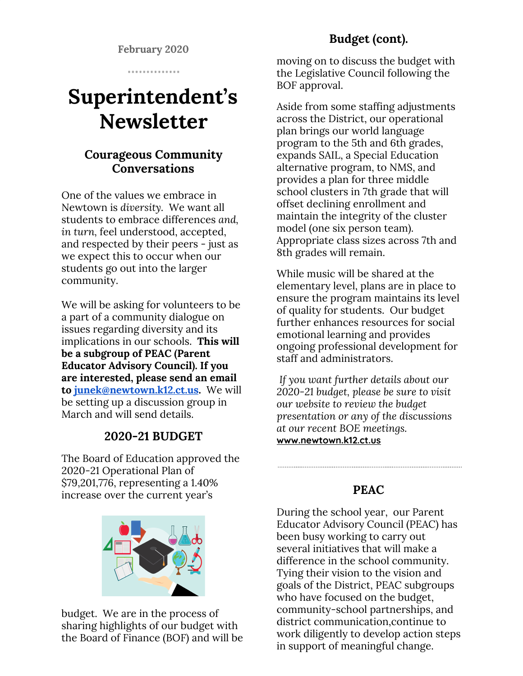**February 2020**

. . . . . . . . . . . . . .

# **Superintendent's Newsletter**

## **Courageous Community Conversations**

One of the values we embrace in Newtown is *diversity.* We want all students to embrace differences *and, in turn,* feel understood, accepted, and respected by their peers - just as we expect this to occur when our students go out into the larger community.

We will be asking for volunteers to be a part of a community dialogue on issues regarding diversity and its implications in our schools. **This will be a subgroup of PEAC (Parent Educator Advisory Council). If you are interested, please send an email to [junek@newtown.k12.ct.us](mailto:junek@newtown.k12.ct.us).** We will be setting up a discussion group in March and will send details.

## **2020-21 BUDGET**

The Board of Education approved the 2020-21 Operational Plan of \$79,201,776, representing a 1.40% increase over the current year's



budget. We are in the process of sharing highlights of our budget with the Board of Finance (BOF) and will be

# **Budget (cont).**

moving on to discuss the budget with the Legislative Council following the BOF approval.

Aside from some staffing adjustments across the District, our operational plan brings our world language program to the 5th and 6th grades, expands SAIL, a Special Education alternative program, to NMS, and provides a plan for three middle school clusters in 7th grade that will offset declining enrollment and maintain the integrity of the cluster model (one six person team). Appropriate class sizes across 7th and 8th grades will remain.

While music will be shared at the elementary level, plans are in place to ensure the program maintains its level of quality for students. Our budget further enhances resources for social emotional learning and provides ongoing professional development for staff and administrators.

*If you want further details about our 2020-21 budget, please be sure to visit our website to review the budget presentation or any of the discussions at our recent BOE meetings.* **[www.newtown.k12.ct.us](http://www.newtown.k12.ct.us/)**

#### **PEAC**

During the school year, our Parent Educator Advisory Council (PEAC) has been busy working to carry out several initiatives that will make a difference in the school community. Tying their vision to the vision and goals of the District, PEAC subgroups who have focused on the budget, community-school partnerships, and district communication,continue to work diligently to develop action steps in support of meaningful change.